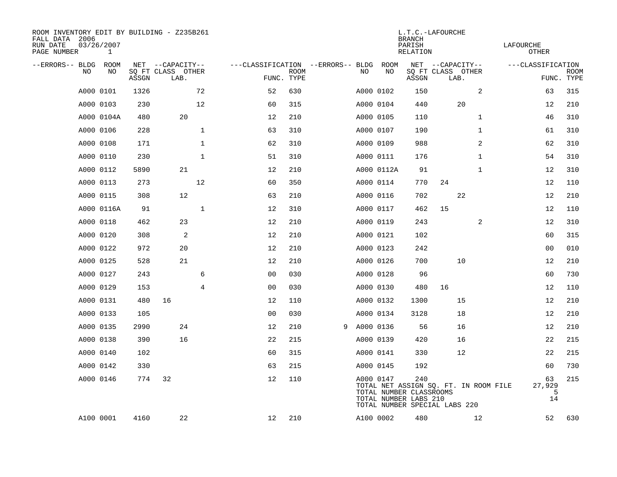| ROOM INVENTORY EDIT BY BUILDING - Z235B261<br>FALL DATA 2006<br>RUN DATE<br>PAGE NUMBER | 03/26/2007<br>$\mathbf{1}$ |       |                           |                |                                   |             |   |           |            | <b>BRANCH</b><br>PARISH<br><b>RELATION</b>              | L.T.C.-LAFOURCHE                                                       |                | LAFOURCHE<br><b>OTHER</b> |                           |
|-----------------------------------------------------------------------------------------|----------------------------|-------|---------------------------|----------------|-----------------------------------|-------------|---|-----------|------------|---------------------------------------------------------|------------------------------------------------------------------------|----------------|---------------------------|---------------------------|
| --ERRORS-- BLDG ROOM                                                                    |                            |       | NET --CAPACITY--          |                | ---CLASSIFICATION --ERRORS-- BLDG |             |   |           | ROOM       |                                                         | NET --CAPACITY--                                                       |                | ---CLASSIFICATION         |                           |
| NO                                                                                      | NO                         | ASSGN | SQ FT CLASS OTHER<br>LAB. |                | FUNC. TYPE                        | <b>ROOM</b> |   | NO        | NO         | ASSGN                                                   | SQ FT CLASS OTHER<br>LAB.                                              |                |                           | <b>ROOM</b><br>FUNC. TYPE |
|                                                                                         | A000 0101                  | 1326  |                           | 72             | 52                                | 630         |   |           | A000 0102  | 150                                                     |                                                                        | 2              | 63                        | 315                       |
|                                                                                         | A000 0103                  | 230   |                           | 12             | 60                                | 315         |   |           | A000 0104  | 440                                                     | 20                                                                     |                | 12                        | 210                       |
|                                                                                         | A000 0104A                 | 480   | 20                        |                | 12                                | 210         |   |           | A000 0105  | 110                                                     |                                                                        | $\mathbf{1}$   | 46                        | 310                       |
|                                                                                         | A000 0106                  | 228   |                           | $\mathbf{1}$   | 63                                | 310         |   |           | A000 0107  | 190                                                     |                                                                        | $\mathbf{1}$   | 61                        | 310                       |
|                                                                                         | A000 0108                  | 171   |                           | $\mathbf{1}$   | 62                                | 310         |   |           | A000 0109  | 988                                                     |                                                                        | $\overline{a}$ | 62                        | 310                       |
|                                                                                         | A000 0110                  | 230   |                           | $\mathbf{1}$   | 51                                | 310         |   |           | A000 0111  | 176                                                     |                                                                        | $\mathbf{1}$   | 54                        | 310                       |
|                                                                                         | A000 0112                  | 5890  | 21                        |                | 12                                | 210         |   |           | A000 0112A | 91                                                      |                                                                        | $\mathbf{1}$   | 12                        | 310                       |
|                                                                                         | A000 0113                  | 273   |                           | 12             | 60                                | 350         |   |           | A000 0114  | 770                                                     | 24                                                                     |                | 12                        | 110                       |
|                                                                                         | A000 0115                  | 308   | 12                        |                | 63                                | 210         |   |           | A000 0116  | 702                                                     | 22                                                                     |                | 12                        | 210                       |
|                                                                                         | A000 0116A                 | 91    |                           | $\mathbf{1}$   | 12                                | 310         |   |           | A000 0117  | 462                                                     | 15                                                                     |                | 12                        | 110                       |
|                                                                                         | A000 0118                  | 462   | 23                        |                | 12                                | 210         |   |           | A000 0119  | 243                                                     |                                                                        | 2              | 12                        | 310                       |
|                                                                                         | A000 0120                  | 308   | 2                         |                | 12                                | 210         |   |           | A000 0121  | 102                                                     |                                                                        |                | 60                        | 315                       |
|                                                                                         | A000 0122                  | 972   | 20                        |                | 12                                | 210         |   |           | A000 0123  | 242                                                     |                                                                        |                | 0 <sub>0</sub>            | 010                       |
|                                                                                         | A000 0125                  | 528   | 21                        |                | 12                                | 210         |   |           | A000 0126  | 700                                                     | 10                                                                     |                | 12                        | 210                       |
|                                                                                         | A000 0127                  | 243   |                           | 6              | 0 <sub>0</sub>                    | 030         |   |           | A000 0128  | 96                                                      |                                                                        |                | 60                        | 730                       |
|                                                                                         | A000 0129                  | 153   |                           | $\overline{4}$ | 0 <sub>0</sub>                    | 030         |   |           | A000 0130  | 480                                                     | 16                                                                     |                | 12                        | 110                       |
|                                                                                         | A000 0131                  | 480   | 16                        |                | 12                                | 110         |   |           | A000 0132  | 1300                                                    | 15                                                                     |                | 12                        | 210                       |
|                                                                                         | A000 0133                  | 105   |                           |                | 0 <sub>0</sub>                    | 030         |   |           | A000 0134  | 3128                                                    | 18                                                                     |                | 12                        | 210                       |
|                                                                                         | A000 0135                  | 2990  | 24                        |                | 12                                | 210         | 9 | A000 0136 |            | 56                                                      | 16                                                                     |                | 12                        | 210                       |
|                                                                                         | A000 0138                  | 390   | 16                        |                | 22                                | 215         |   |           | A000 0139  | 420                                                     | 16                                                                     |                | 22                        | 215                       |
|                                                                                         | A000 0140                  | 102   |                           |                | 60                                | 315         |   |           | A000 0141  | 330                                                     | 12                                                                     |                | 22                        | 215                       |
|                                                                                         | A000 0142                  | 330   |                           |                | 63                                | 215         |   |           | A000 0145  | 192                                                     |                                                                        |                | 60                        | 730                       |
|                                                                                         | A000 0146                  | 774   | 32                        |                | 12                                | 110         |   |           | A000 0147  | 240<br>TOTAL NUMBER CLASSROOMS<br>TOTAL NUMBER LABS 210 | TOTAL NET ASSIGN SQ. FT. IN ROOM FILE<br>TOTAL NUMBER SPECIAL LABS 220 |                | 63<br>27,929<br>5<br>14   | 215                       |
|                                                                                         | A100 0001                  | 4160  | 22                        |                | 12                                | 210         |   |           | A100 0002  | 480                                                     |                                                                        | 12             | 52                        | 630                       |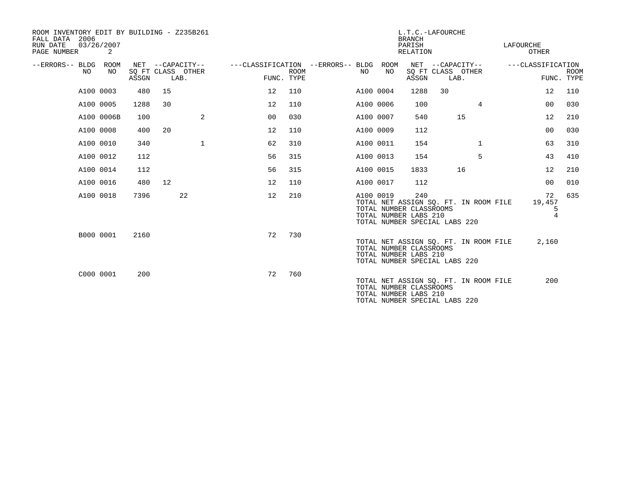| ROOM INVENTORY EDIT BY BUILDING - Z235B261<br>FALL DATA 2006<br>RUN DATE<br>PAGE NUMBER | 03/26/2007<br>2 |       |    |                                               |                                   |                           |           |            | L.T.C.-LAFOURCHE<br><b>BRANCH</b><br>PARISH<br>RELATION                                  |                                               |                                       | LAFOURCHE | OTHER                               |             |
|-----------------------------------------------------------------------------------------|-----------------|-------|----|-----------------------------------------------|-----------------------------------|---------------------------|-----------|------------|------------------------------------------------------------------------------------------|-----------------------------------------------|---------------------------------------|-----------|-------------------------------------|-------------|
| --ERRORS-- BLDG<br>NO.                                                                  | ROOM<br>NO      | ASSGN |    | NET --CAPACITY--<br>SQ FT CLASS OTHER<br>LAB. | ---CLASSIFICATION --ERRORS-- BLDG | <b>ROOM</b><br>FUNC. TYPE | NO.       | ROOM<br>NO | ASSGN                                                                                    | NET --CAPACITY--<br>SQ FT CLASS OTHER<br>LAB. |                                       |           | ---CLASSIFICATION<br>FUNC. TYPE     | <b>ROOM</b> |
| A100 0003                                                                               |                 | 480   | 15 |                                               | 12                                | 110                       | A100 0004 |            | 1288                                                                                     | 30                                            |                                       |           | 12                                  | 110         |
| A100 0005                                                                               |                 | 1288  | 30 |                                               | 12                                | 110                       | A100 0006 |            | 100                                                                                      |                                               | 4                                     |           | 0 <sub>0</sub>                      | 030         |
|                                                                                         | A100 0006B      | 100   |    | 2                                             | 00                                | 030                       | A100 0007 |            | 540                                                                                      |                                               | 15                                    |           | 12                                  | 210         |
| A100 0008                                                                               |                 | 400   | 20 |                                               | 12                                | 110                       | A100 0009 |            | 112                                                                                      |                                               |                                       |           | 00                                  | 030         |
| A100 0010                                                                               |                 | 340   |    | $\mathbf{1}$                                  | 62                                | 310                       | A100 0011 |            | 154                                                                                      |                                               | $\mathbf{1}$                          |           | 63                                  | 310         |
| A100 0012                                                                               |                 | 112   |    |                                               | 56                                | 315                       | A100 0013 |            | 154                                                                                      |                                               | 5                                     |           | 43                                  | 410         |
| A100 0014                                                                               |                 | 112   |    |                                               | 56                                | 315                       | A100 0015 |            | 1833                                                                                     |                                               | 16                                    |           | 12                                  | 210         |
| A100 0016                                                                               |                 | 480   | 12 |                                               | 12                                | 110                       | A100 0017 |            | 112                                                                                      |                                               |                                       |           | 0 <sub>0</sub>                      | 010         |
| A100 0018                                                                               |                 | 7396  |    | 22                                            | 12                                | 210                       | A100 0019 |            | 240<br>TOTAL NUMBER CLASSROOMS<br>TOTAL NUMBER LABS 210<br>TOTAL NUMBER SPECIAL LABS 220 |                                               | TOTAL NET ASSIGN SQ. FT. IN ROOM FILE |           | 72<br>19,457<br>5<br>$\overline{4}$ | 635         |
|                                                                                         | B000 0001       | 2160  |    |                                               | 72                                | 730                       |           |            | TOTAL NUMBER CLASSROOMS<br>TOTAL NUMBER LABS 210<br>TOTAL NUMBER SPECIAL LABS 220        |                                               | TOTAL NET ASSIGN SQ. FT. IN ROOM FILE |           | 2,160                               |             |
| C000 0001                                                                               |                 | 200   |    |                                               | 72                                | 760                       |           |            | TOTAL NUMBER CLASSROOMS<br>TOTAL NUMBER LABS 210<br>TOTAL NUMBER SPECIAL LABS 220        |                                               | TOTAL NET ASSIGN SQ. FT. IN ROOM FILE |           | 200                                 |             |